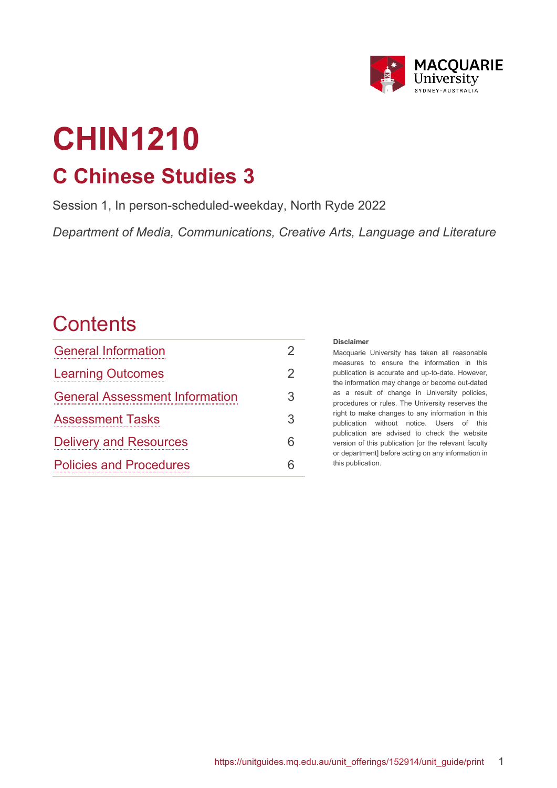

# **CHIN1210 C Chinese Studies 3**

Session 1, In person-scheduled-weekday, North Ryde 2022

*Department of Media, Communications, Creative Arts, Language and Literature*

# **Contents**

| <b>General Information</b>            | 2 |
|---------------------------------------|---|
| <b>Learning Outcomes</b>              | 2 |
| <b>General Assessment Information</b> | 3 |
| <b>Assessment Tasks</b>               | 3 |
| <b>Delivery and Resources</b>         | 6 |
| <b>Policies and Procedures</b>        | հ |

#### **Disclaimer**

Macquarie University has taken all reasonable measures to ensure the information in this publication is accurate and up-to-date. However, the information may change or become out-dated as a result of change in University policies, procedures or rules. The University reserves the right to make changes to any information in this publication without notice. Users of this publication are advised to check the website version of this publication [or the relevant faculty or department] before acting on any information in this publication.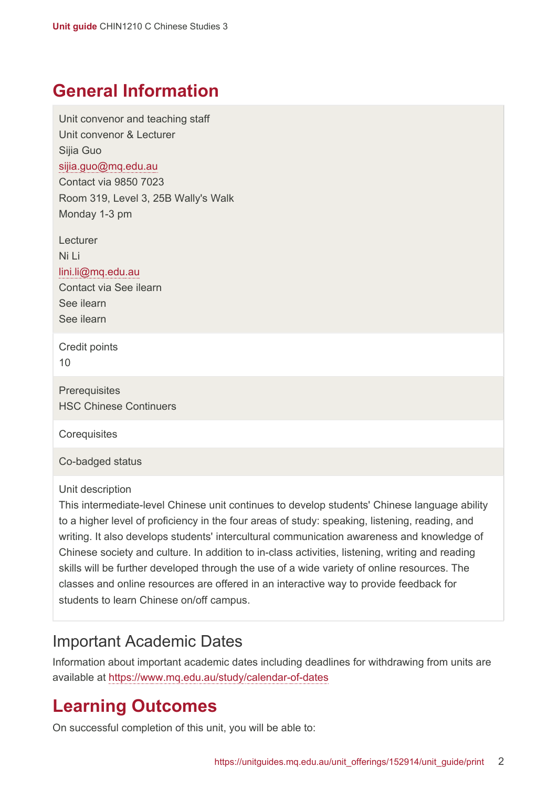# <span id="page-1-0"></span>**General Information**

Unit convenor and teaching staff Unit convenor & Lecturer Sijia Guo [sijia.guo@mq.edu.au](mailto:sijia.guo@mq.edu.au) Contact via 9850 7023 Room 319, Level 3, 25B Wally's Walk Monday 1-3 pm

Lecturer Ni Li [lini.li@mq.edu.au](mailto:lini.li@mq.edu.au) Contact via See ilearn See ilearn

See ilearn

Credit points 10

**Prerequisites** HSC Chinese Continuers

**Corequisites** 

Co-badged status

Unit description

This intermediate-level Chinese unit continues to develop students' Chinese language ability to a higher level of proficiency in the four areas of study: speaking, listening, reading, and writing. It also develops students' intercultural communication awareness and knowledge of Chinese society and culture. In addition to in-class activities, listening, writing and reading skills will be further developed through the use of a wide variety of online resources. The classes and online resources are offered in an interactive way to provide feedback for students to learn Chinese on/off campus.

#### Important Academic Dates

Information about important academic dates including deadlines for withdrawing from units are available at <https://www.mq.edu.au/study/calendar-of-dates>

# <span id="page-1-1"></span>**Learning Outcomes**

On successful completion of this unit, you will be able to: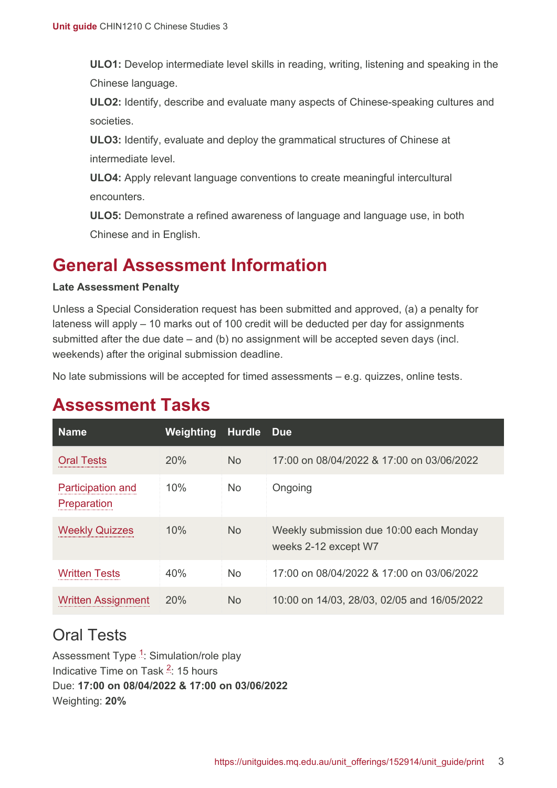**ULO1:** Develop intermediate level skills in reading, writing, listening and speaking in the Chinese language.

**ULO2:** Identify, describe and evaluate many aspects of Chinese-speaking cultures and societies.

**ULO3:** Identify, evaluate and deploy the grammatical structures of Chinese at intermediate level.

**ULO4:** Apply relevant language conventions to create meaningful intercultural encounters.

**ULO5:** Demonstrate a refined awareness of language and language use, in both Chinese and in English.

# <span id="page-2-0"></span>**General Assessment Information**

#### **Late Assessment Penalty**

Unless a Special Consideration request has been submitted and approved, (a) a penalty for lateness will apply – 10 marks out of 100 credit will be deducted per day for assignments submitted after the due date – and (b) no assignment will be accepted seven days (incl. weekends) after the original submission deadline.

No late submissions will be accepted for timed assessments – e.g. quizzes, online tests.

| <b>Name</b>                             | Weighting | <b>Hurdle</b>  | <b>Due</b>                                                      |
|-----------------------------------------|-----------|----------------|-----------------------------------------------------------------|
| <b>Oral Tests</b>                       | 20%       | N <sub>o</sub> | 17:00 on 08/04/2022 & 17:00 on 03/06/2022                       |
| <b>Participation and</b><br>Preparation | 10%       | <b>No</b>      | Ongoing                                                         |
| <b>Weekly Quizzes</b>                   | 10%       | <b>No</b>      | Weekly submission due 10:00 each Monday<br>weeks 2-12 except W7 |
| Written Tests                           | 40%       | N <sub>o</sub> | 17:00 on 08/04/2022 & 17:00 on 03/06/2022                       |
| <b>Written Assignment</b>               | 20%       | <b>No</b>      | 10:00 on 14/03, 28/03, 02/05 and 16/05/2022                     |

# <span id="page-2-1"></span>**Assessment Tasks**

#### <span id="page-2-2"></span>Oral Tests

Assessment Type <sup>[1](#page-5-2)</sup>: Simulation/role play Indicative Time on Task <sup>[2](#page-5-3)</sup>: 15 hours Due: **17:00 on 08/04/2022 & 17:00 on 03/06/2022** Weighting: **20%**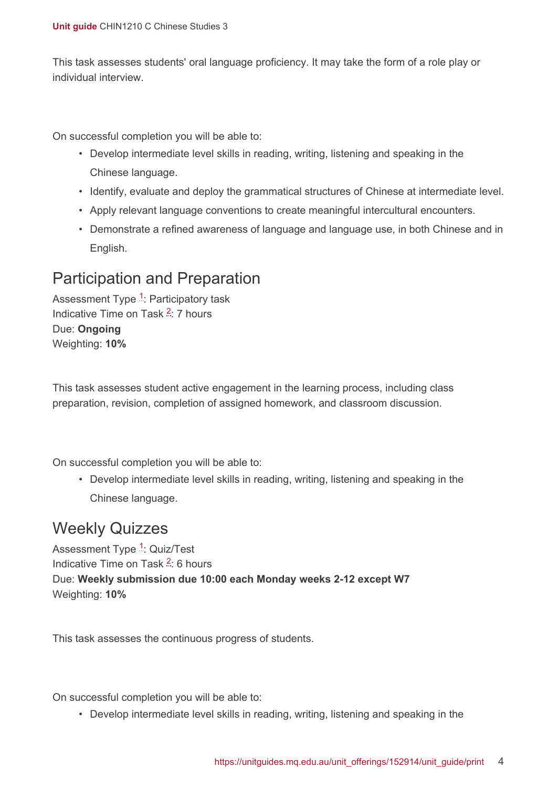This task assesses students' oral language proficiency. It may take the form of a role play or individual interview.

On successful completion you will be able to:

- Develop intermediate level skills in reading, writing, listening and speaking in the Chinese language.
- Identify, evaluate and deploy the grammatical structures of Chinese at intermediate level.
- Apply relevant language conventions to create meaningful intercultural encounters.
- Demonstrate a refined awareness of language and language use, in both Chinese and in English.

### <span id="page-3-0"></span>Participation and Preparation

Assessment Type <sup>[1](#page-5-2)</sup>: Participatory task Indicative Time on Task <sup>[2](#page-5-3)</sup>: 7 hours Due: **Ongoing** Weighting: **10%**

This task assesses student active engagement in the learning process, including class preparation, revision, completion of assigned homework, and classroom discussion.

On successful completion you will be able to:

• Develop intermediate level skills in reading, writing, listening and speaking in the Chinese language.

#### <span id="page-3-1"></span>Weekly Quizzes

Assessment Type <sup>[1](#page-5-2)</sup>: Quiz/Test Indicative Time on Task <sup>[2](#page-5-3)</sup>: 6 hours Due: **Weekly submission due 10:00 each Monday weeks 2-12 except W7** Weighting: **10%**

This task assesses the continuous progress of students.

On successful completion you will be able to:

• Develop intermediate level skills in reading, writing, listening and speaking in the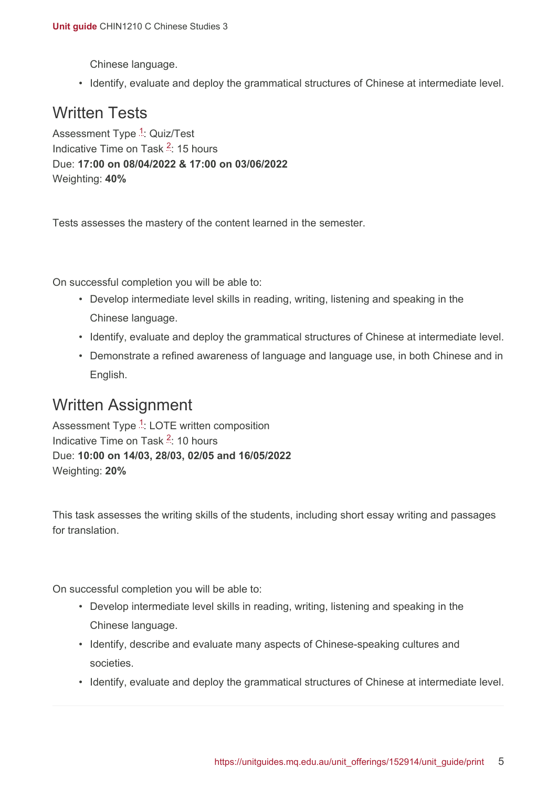Chinese language.

• Identify, evaluate and deploy the grammatical structures of Chinese at intermediate level.

### <span id="page-4-0"></span>Written Tests

Assessment Type <sup>[1](#page-5-2)</sup>: Quiz/Test Indicative Time on Task <sup>[2](#page-5-3)</sup>: 15 hours Due: **17:00 on 08/04/2022 & 17:00 on 03/06/2022** Weighting: **40%**

Tests assesses the mastery of the content learned in the semester.

On successful completion you will be able to:

- Develop intermediate level skills in reading, writing, listening and speaking in the Chinese language.
- Identify, evaluate and deploy the grammatical structures of Chinese at intermediate level.
- Demonstrate a refined awareness of language and language use, in both Chinese and in English.

### <span id="page-4-1"></span>Written Assignment

Assessment Type <sup>[1](#page-5-2)</sup>: LOTE written composition Indicative Time on Task <sup>[2](#page-5-3)</sup>: 10 hours Due: **10:00 on 14/03, 28/03, 02/05 and 16/05/2022** Weighting: **20%**

This task assesses the writing skills of the students, including short essay writing and passages for translation.

On successful completion you will be able to:

- Develop intermediate level skills in reading, writing, listening and speaking in the Chinese language.
- Identify, describe and evaluate many aspects of Chinese-speaking cultures and societies.
- Identify, evaluate and deploy the grammatical structures of Chinese at intermediate level.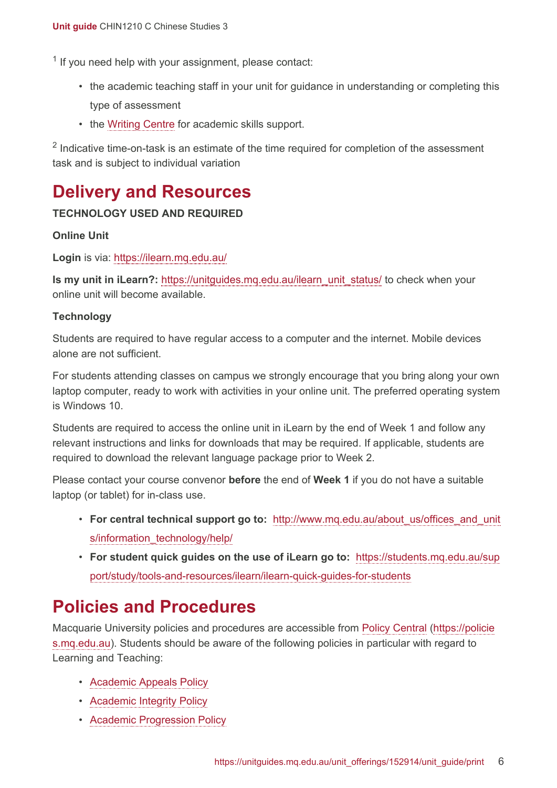<span id="page-5-2"></span><sup>1</sup> If you need help with your assignment, please contact:

- the academic teaching staff in your unit for guidance in understanding or completing this type of assessment
- the [Writing Centre](https://students.mq.edu.au/support/study/skills-development) for academic skills support.

<span id="page-5-3"></span> $2$  Indicative time-on-task is an estimate of the time required for completion of the assessment task and is subject to individual variation

# <span id="page-5-0"></span>**Delivery and Resources**

#### **TECHNOLOGY USED AND REQUIRED**

#### **Online Unit**

**Login** is via: <https://ilearn.mq.edu.au/>

**Is my unit in iLearn?:** [https://unitguides.mq.edu.au/ilearn\\_unit\\_status/](https://unitguides.mq.edu.au/ilearn_unit_status/) to check when your online unit will become available.

#### **Technology**

Students are required to have regular access to a computer and the internet. Mobile devices alone are not sufficient.

For students attending classes on campus we strongly encourage that you bring along your own laptop computer, ready to work with activities in your online unit. The preferred operating system is Windows 10.

Students are required to access the online unit in iLearn by the end of Week 1 and follow any relevant instructions and links for downloads that may be required. If applicable, students are required to download the relevant language package prior to Week 2.

Please contact your course convenor **before** the end of **Week 1** if you do not have a suitable laptop (or tablet) for in-class use.

- **For central technical support go to:** [http://www.mq.edu.au/about\\_us/offices\\_and\\_unit](http://www.mq.edu.au/about_us/offices_and_units/information_technology/help/) [s/information\\_technology/help/](http://www.mq.edu.au/about_us/offices_and_units/information_technology/help/)
- **For student quick guides on the use of iLearn go to:** [https://students.mq.edu.au/sup](https://students.mq.edu.au/support/study/tools-and-resources/ilearn/ilearn-quick-guides-for-students) [port/study/tools-and-resources/ilearn/ilearn-quick-guides-for-students](https://students.mq.edu.au/support/study/tools-and-resources/ilearn/ilearn-quick-guides-for-students)

#### <span id="page-5-1"></span>**Policies and Procedures**

Macquarie University policies and procedures are accessible from [Policy Central](https://policies.mq.edu.au/) [\(https://policie](https://policies.mq.edu.au/) [s.mq.edu.au](https://policies.mq.edu.au/)). Students should be aware of the following policies in particular with regard to Learning and Teaching:

- [Academic Appeals Policy](https://policies.mq.edu.au/document/view.php?id=1)
- [Academic Integrity Policy](https://policies.mq.edu.au/document/view.php?id=3)
- [Academic Progression Policy](https://policies.mq.edu.au/document/view.php?id=4)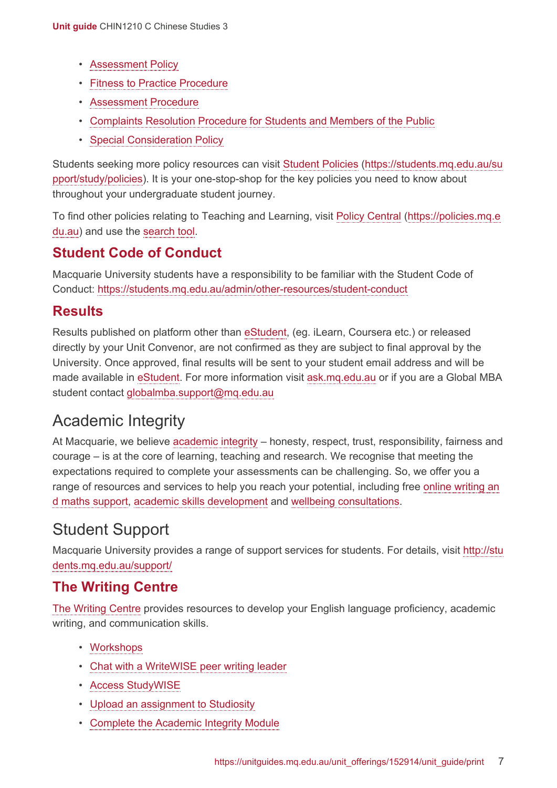- [Assessment Policy](https://policies.mq.edu.au/document/view.php?id=17)
- [Fitness to Practice Procedure](https://policies.mq.edu.au/document/view.php?id=6)
- [Assessment Procedure](https://policies.mq.edu.au/document/view.php?id=277)
- [Complaints Resolution Procedure for Students and Members of the Public](https://policies.mq.edu.au/document/view.php?id=282)
- [Special Consideration Policy](https://policies.mq.edu.au/document/view.php?id=136)

Students seeking more policy resources can visit [Student Policies](https://students.mq.edu.au/support/study/policies) [\(https://students.mq.edu.au/su](https://students.mq.edu.au/support/study/policies) [pport/study/policies\)](https://students.mq.edu.au/support/study/policies). It is your one-stop-shop for the key policies you need to know about throughout your undergraduate student journey.

To find other policies relating to Teaching and Learning, visit [Policy Central](https://policies.mq.edu.au/) ([https://policies.mq.e](https://policies.mq.edu.au/) [du.au](https://policies.mq.edu.au/)) and use the [search](https://policies.mq.edu.au/search.php) tool.

#### **Student Code of Conduct**

Macquarie University students have a responsibility to be familiar with the Student Code of Conduct: <https://students.mq.edu.au/admin/other-resources/student-conduct>

#### **Results**

Results published on platform other than [eStudent](https://student1.mq.edu.au/), (eg. iLearn, Coursera etc.) or released directly by your Unit Convenor, are not confirmed as they are subject to final approval by the University. Once approved, final results will be sent to your student email address and will be made available in [eStudent.](https://student1.mq.edu.au/) For more information visit [ask.mq.edu.au](http://ask.mq.edu.au/) or if you are a Global MBA student contact [globalmba.support@mq.edu.au](mailto:globalmba.support@mq.edu.au)

### Academic Integrity

At Macquarie, we believe [academic integrity](https://students.mq.edu.au/study/assessment-exams/academic-integrity) – honesty, respect, trust, responsibility, fairness and courage – is at the core of learning, teaching and research. We recognise that meeting the expectations required to complete your assessments can be challenging. So, we offer you a range of resources and services to help you reach your potential, including free [online writing an](https://students.mq.edu.au/support/study) [d maths support,](https://students.mq.edu.au/support/study) [academic skills development](https://students.mq.edu.au/support/study/writing) and [wellbeing consultations](https://students.mq.edu.au/support/personal).

# Student Support

Macquarie University provides a range of support services for students. For details, visit [http://stu](http://students.mq.edu.au/support/) [dents.mq.edu.au/support/](http://students.mq.edu.au/support/)

#### **The Writing Centre**

[The Writing Centre](https://students.mq.edu.au/support/study/writing) provides resources to develop your English language proficiency, academic writing, and communication skills.

- [Workshops](https://students.mq.edu.au/support/study/writing/workshops)
- [Chat with a WriteWISE peer writing leader](https://students.mq.edu.au/support/study/writing/writewise)
- [Access StudyWISE](http://ilearn.mq.edu.au/course/view.php?id=16580)
- [Upload an assignment to Studiosity](https://students.mq.edu.au/support/study/writing/studiosity)
- Complete [the Academic Integrity Module](https://ilearn.mq.edu.au/course/view.php?id=11590)